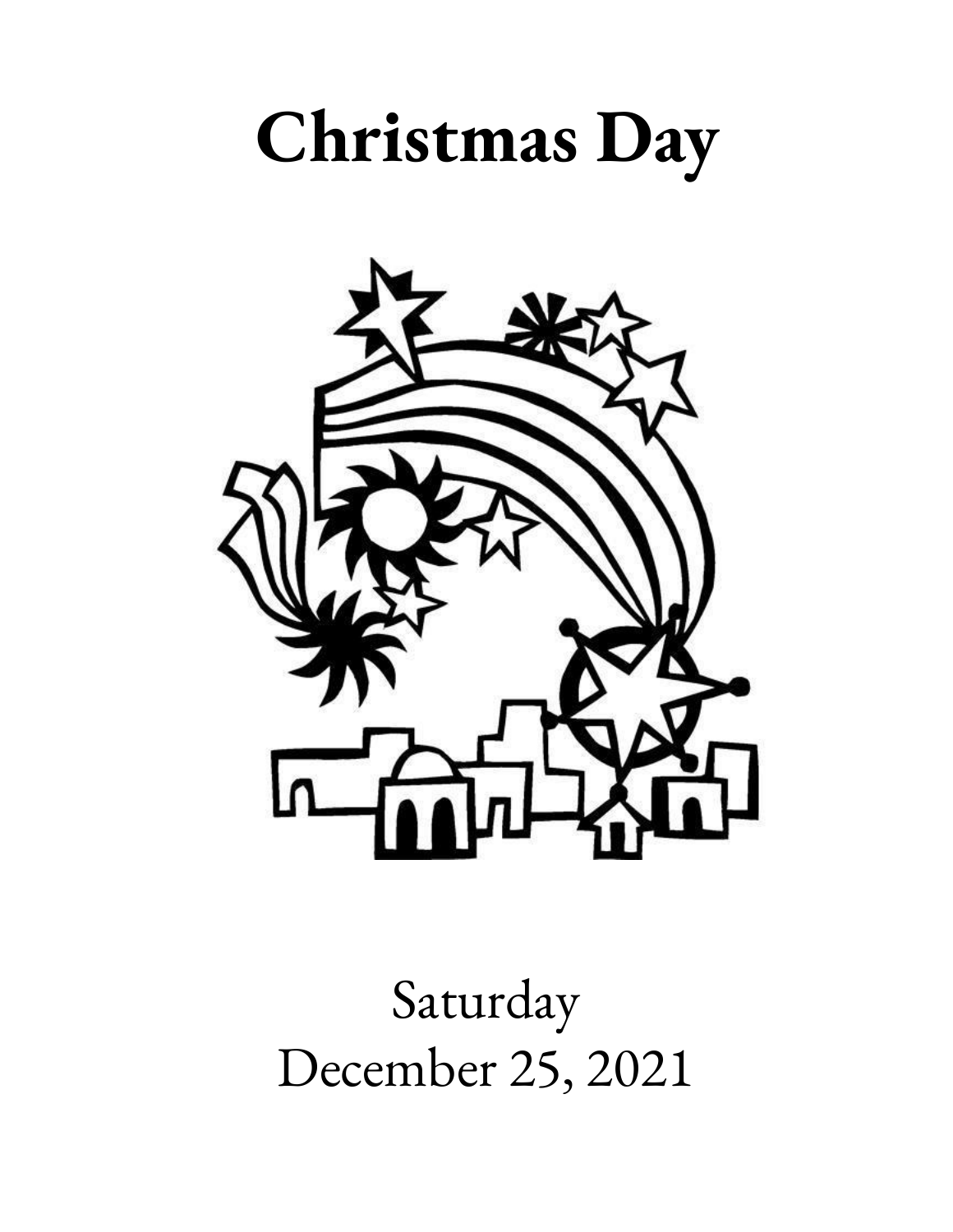# **Christmas Day**



Saturday December 25, 2021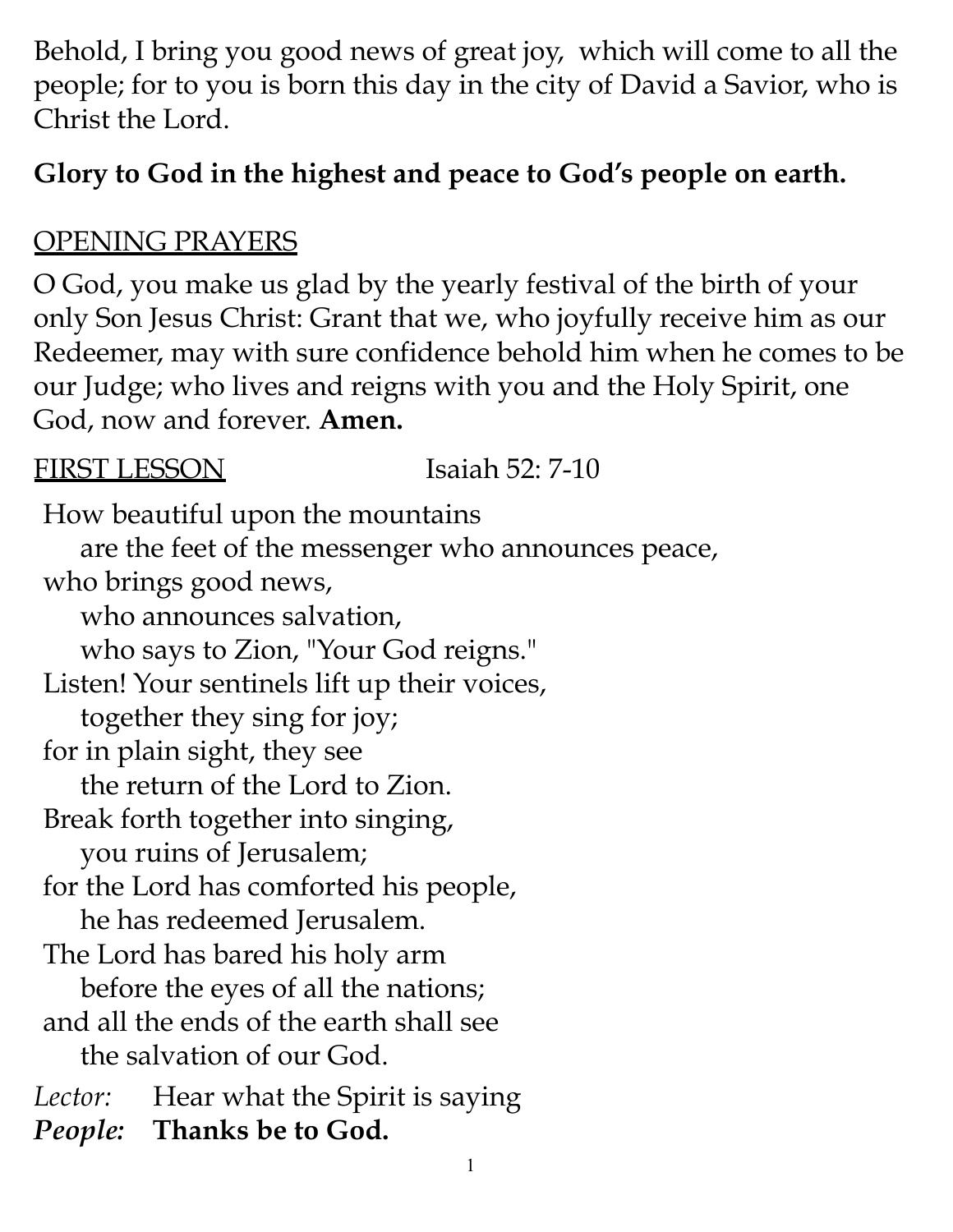Behold, I bring you good news of great joy, which will come to all the people; for to you is born this day in the city of David a Savior, who is Christ the Lord.

# **Glory to God in the highest and peace to God's people on earth.**

### OPENING PRAYERS

O God, you make us glad by the yearly festival of the birth of your only Son Jesus Christ: Grant that we, who joyfully receive him as our Redeemer, may with sure confidence behold him when he comes to be our Judge; who lives and reigns with you and the Holy Spirit, one God, now and forever. **Amen.**

1

| <b>IRST LESSO</b><br>Isaiah 52: 7-10               |  |
|----------------------------------------------------|--|
| How beautiful upon the mountains                   |  |
| are the feet of the messenger who announces peace, |  |
| who brings good news,                              |  |
| who announces salvation,                           |  |
| who says to Zion, "Your God reigns."               |  |
| Listen! Your sentinels lift up their voices,       |  |
| together they sing for joy;                        |  |
| for in plain sight, they see                       |  |
| the return of the Lord to Zion.                    |  |
| Break forth together into singing,                 |  |
| you ruins of Jerusalem;                            |  |
| for the Lord has comforted his people,             |  |
| he has redeemed Jerusalem.                         |  |
| The Lord has bared his holy arm                    |  |
| before the eyes of all the nations;                |  |
| and all the ends of the earth shall see            |  |
| the salvation of our God.                          |  |
| <i>Lector:</i> Hear what the Spirit is saying      |  |
| <i>People:</i> Thanks be to God.                   |  |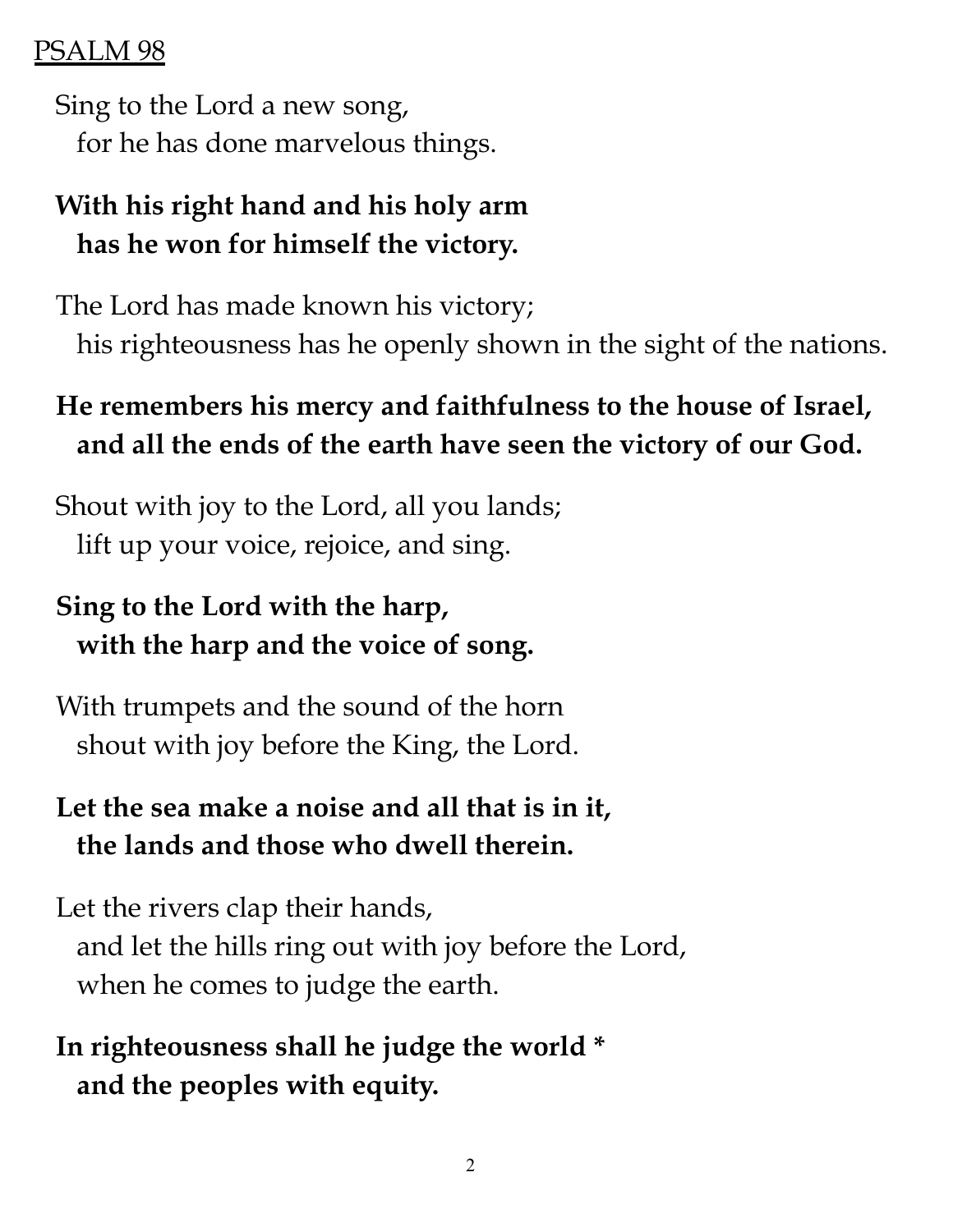#### PSALM 98

Sing to the Lord a new song, for he has done marvelous things.

# **With his right hand and his holy arm has he won for himself the victory.**

The Lord has made known his victory; his righteousness has he openly shown in the sight of the nations.

# **He remembers his mercy and faithfulness to the house of Israel, and all the ends of the earth have seen the victory of our God.**

Shout with joy to the Lord, all you lands; lift up your voice, rejoice, and sing.

# **Sing to the Lord with the harp, with the harp and the voice of song.**

With trumpets and the sound of the horn shout with joy before the King, the Lord.

# **Let the sea make a noise and all that is in it, the lands and those who dwell therein.**

Let the rivers clap their hands, and let the hills ring out with joy before the Lord, when he comes to judge the earth.

**In righteousness shall he judge the world \* and the peoples with equity.**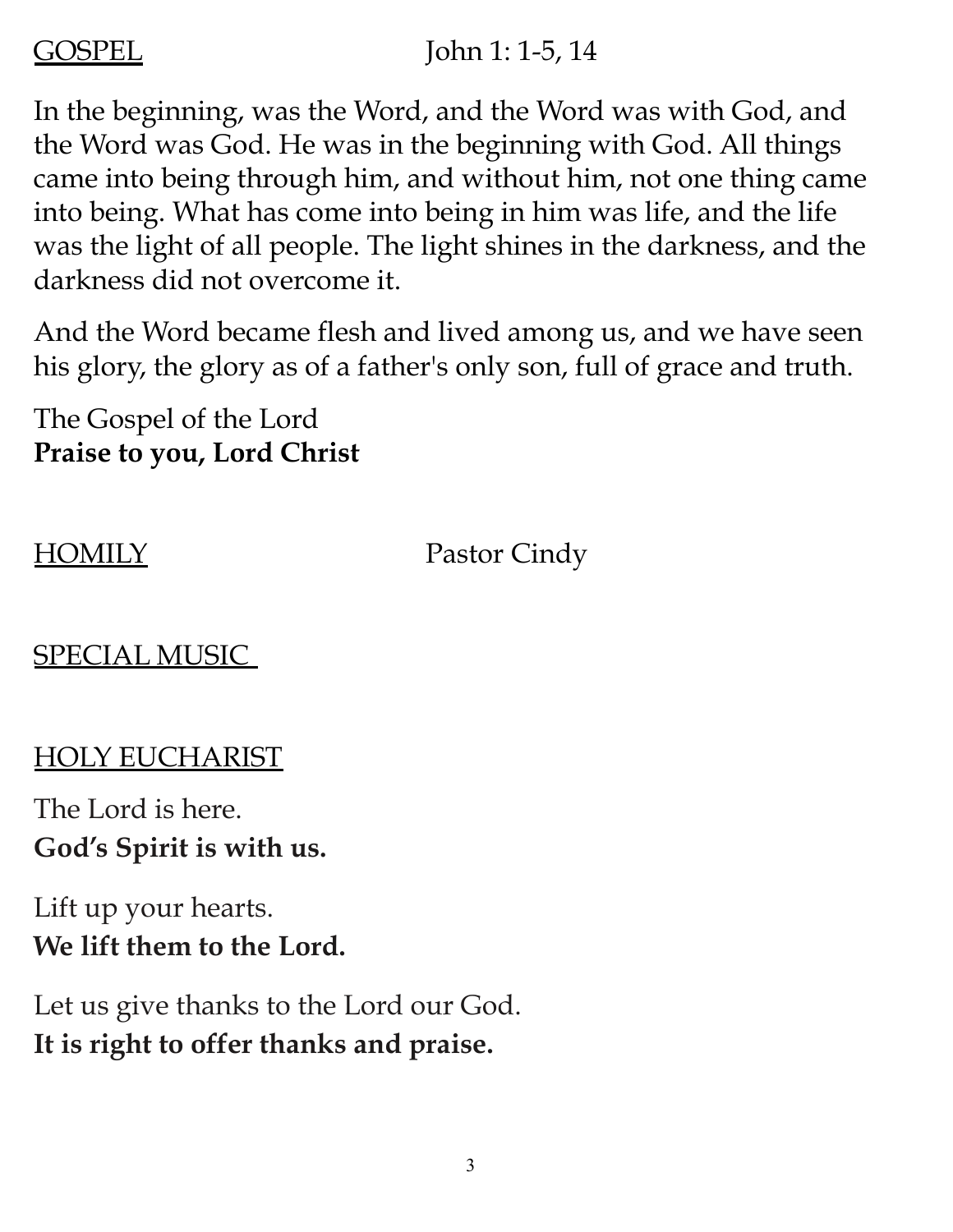#### GOSPEL John 1: 1-5, 14

In the beginning, was the Word, and the Word was with God, and the Word was God. He was in the beginning with God. All things came into being through him, and without him, not one thing came into being. What has come into being in him was life, and the life was the light of all people. The light shines in the darkness, and the darkness did not overcome it.

And the Word became flesh and lived among us, and we have seen his glory, the glory as of a father's only son, full of grace and truth.

The Gospel of the Lord **Praise to you, Lord Christ**

HOMILY Pastor Cindy

## SPECIAL MUSIC

### HOLY EUCHARIST

The Lord is here. **God's Spirit is with us.**

Lift up your hearts. **We lift them to the Lord.**

Let us give thanks to the Lord our God. **It is right to offer thanks and praise.**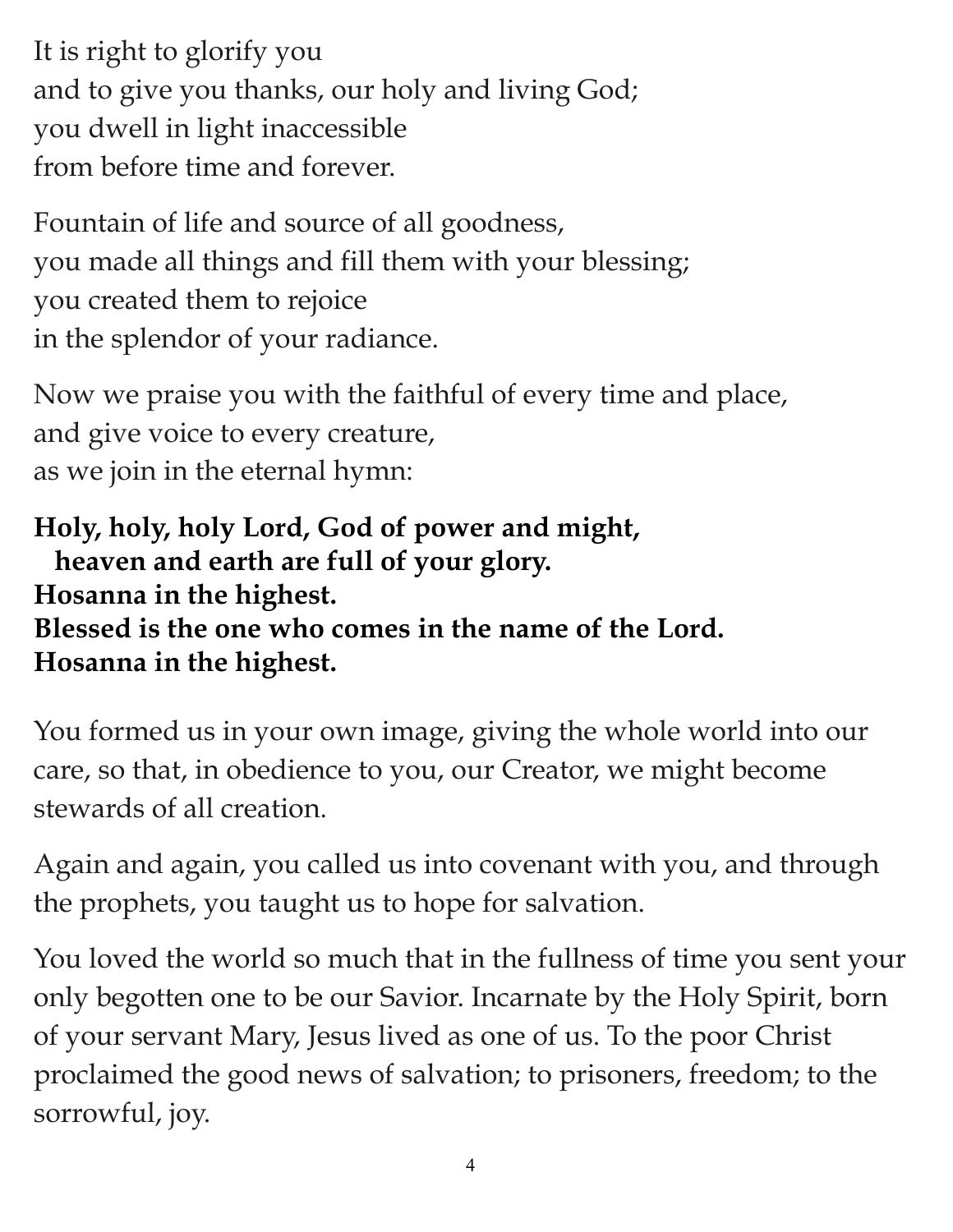It is right to glorify you and to give you thanks, our holy and living God; you dwell in light inaccessible from before time and forever.

Fountain of life and source of all goodness, you made all things and fill them with your blessing; you created them to rejoice in the splendor of your radiance.

Now we praise you with the faithful of every time and place, and give voice to every creature, as we join in the eternal hymn:

**Holy, holy, holy Lord, God of power and might, heaven and earth are full of your glory. Hosanna in the highest. Blessed is the one who comes in the name of the Lord. Hosanna in the highest.**

You formed us in your own image, giving the whole world into our care, so that, in obedience to you, our Creator, we might become stewards of all creation.

Again and again, you called us into covenant with you, and through the prophets, you taught us to hope for salvation.

You loved the world so much that in the fullness of time you sent your only begotten one to be our Savior. Incarnate by the Holy Spirit, born of your servant Mary, Jesus lived as one of us. To the poor Christ proclaimed the good news of salvation; to prisoners, freedom; to the sorrowful, joy.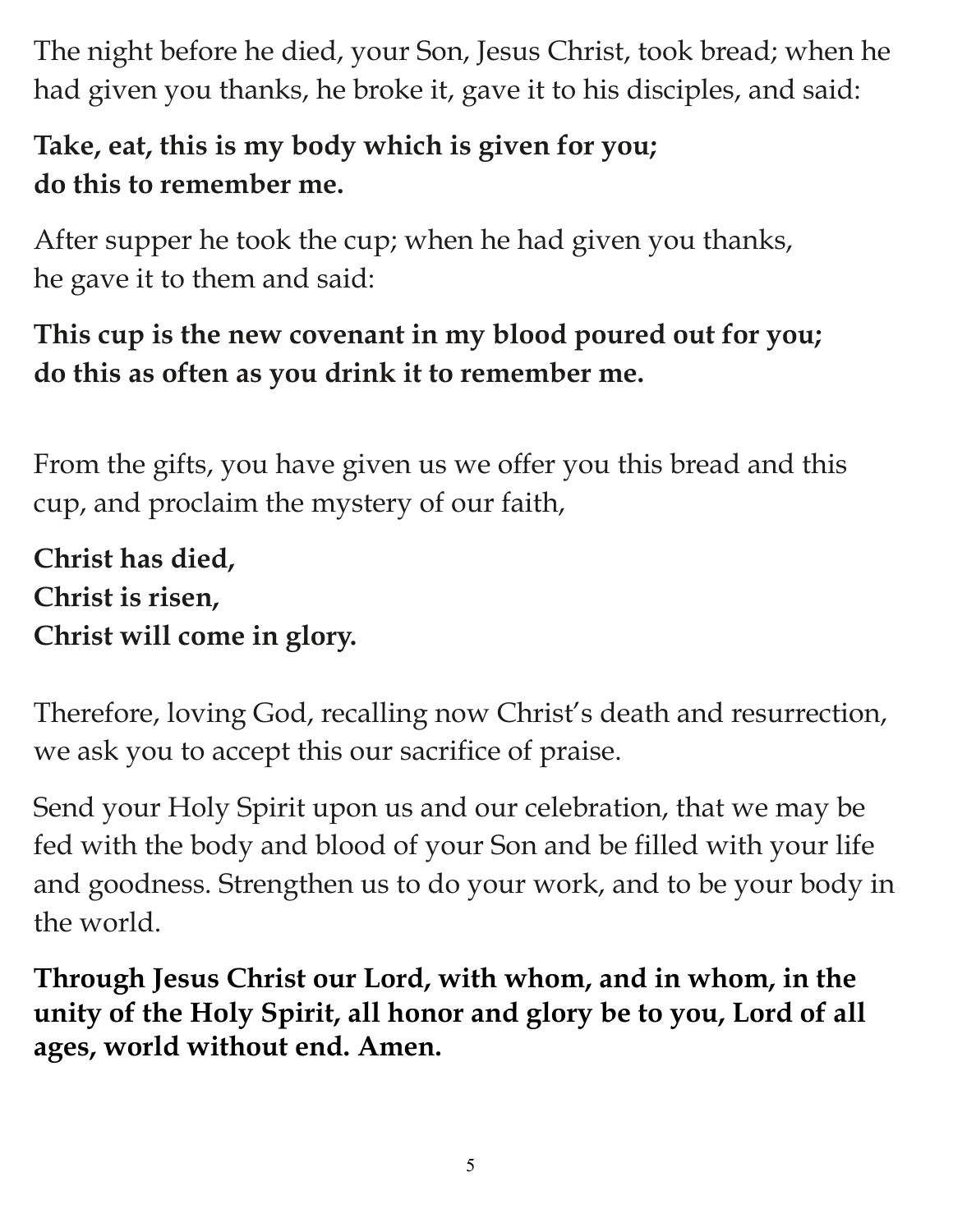The night before he died, your Son, Jesus Christ, took bread; when he had given you thanks, he broke it, gave it to his disciples, and said:

# **Take, eat, this is my body which is given for you; do this to remember me.**

After supper he took the cup; when he had given you thanks, he gave it to them and said:

# **This cup is the new covenant in my blood poured out for you; do this as often as you drink it to remember me.**

From the gifts, you have given us we offer you this bread and this cup, and proclaim the mystery of our faith,

**Christ has died, Christ is risen, Christ will come in glory.**

Therefore, loving God, recalling now Christ's death and resurrection, we ask you to accept this our sacrifice of praise.

Send your Holy Spirit upon us and our celebration, that we may be fed with the body and blood of your Son and be filled with your life and goodness. Strengthen us to do your work, and to be your body in the world.

**Through Jesus Christ our Lord, with whom, and in whom, in the unity of the Holy Spirit, all honor and glory be to you, Lord of all ages, world without end. Amen.**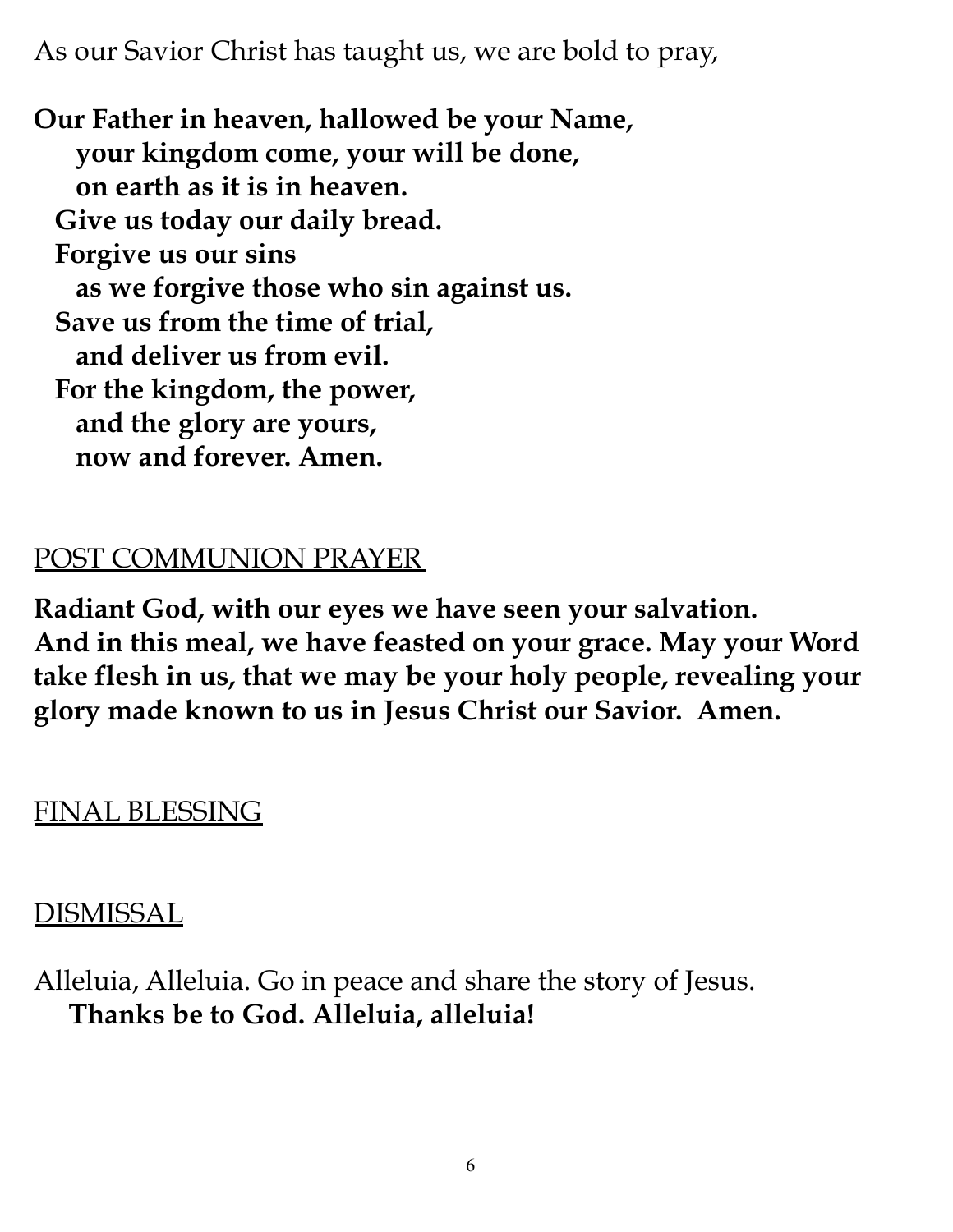As our Savior Christ has taught us, we are bold to pray,

**Our Father in heaven, hallowed be your Name, your kingdom come, your will be done, on earth as it is in heaven. Give us today our daily bread. Forgive us our sins as we forgive those who sin against us. Save us from the time of trial, and deliver us from evil. For the kingdom, the power, and the glory are yours, now and forever. Amen.**

#### POST COMMUNION PRAYER

**Radiant God, with our eyes we have seen your salvation. And in this meal, we have feasted on your grace. May your Word take flesh in us, that we may be your holy people, revealing your glory made known to us in Jesus Christ our Savior. Amen.**

### FINAL BLESSING

### DISMISSAL

Alleluia, Alleluia. Go in peace and share the story of Jesus. **Thanks be to God. Alleluia, alleluia!**